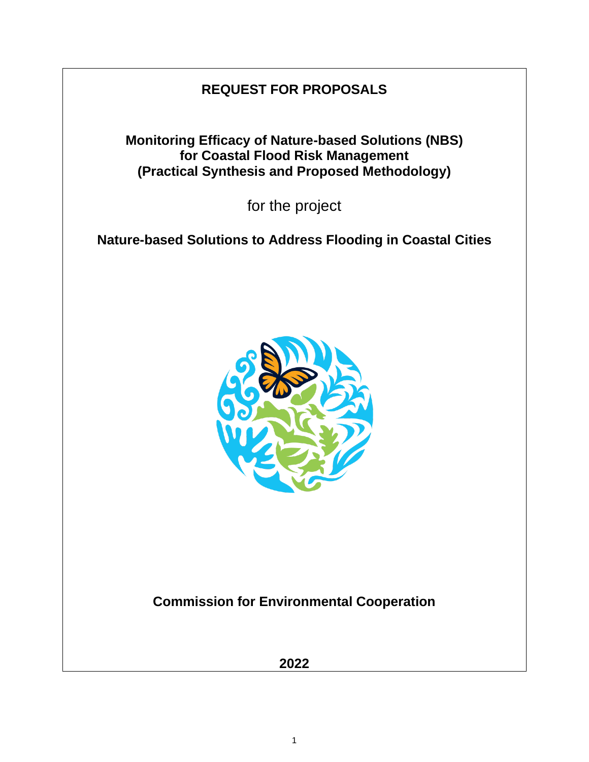# **REQUEST FOR PROPOSALS**

**Monitoring Efficacy of Nature-based Solutions (NBS) for Coastal Flood Risk Management (Practical Synthesis and Proposed Methodology)**

for the project

**Nature-based Solutions to Address Flooding in Coastal Cities**



**Commission for Environmental Cooperation**

**2022**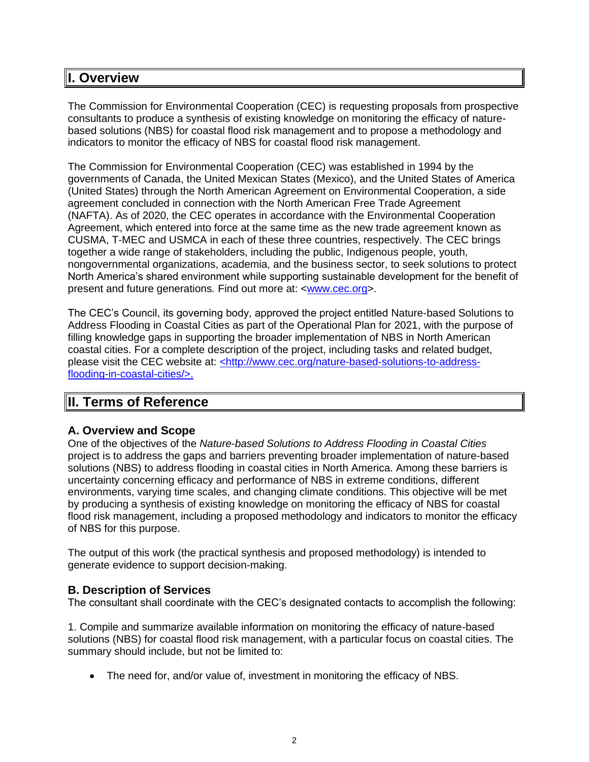## **I. Overview**

The Commission for Environmental Cooperation (CEC) is requesting proposals from prospective consultants to produce a synthesis of existing knowledge on monitoring the efficacy of naturebased solutions (NBS) for coastal flood risk management and to propose a methodology and indicators to monitor the efficacy of NBS for coastal flood risk management.

The Commission for Environmental Cooperation (CEC) was established in 1994 by the governments of Canada, the United Mexican States (Mexico), and the United States of America (United States) through the North American Agreement on Environmental Cooperation, a side agreement concluded in connection with the North American Free Trade Agreement (NAFTA). As of 2020, the CEC operates in accordance with the Environmental Cooperation Agreement, which entered into force at the same time as the new trade agreement known as CUSMA, T-MEC and USMCA in each of these three countries, respectively. The CEC brings together a wide range of stakeholders, including the public, Indigenous people, youth, nongovernmental organizations, academia, and the business sector, to seek solutions to protect North America's shared environment while supporting sustainable development for the benefit of present and future generations*.* Find out more at: [<www.cec.org>](http://www.cec.org/).

The CEC's Council, its governing body, approved the project entitled Nature-based Solutions to Address Flooding in Coastal Cities as part of the Operational Plan for 2021, with the purpose of filling knowledge gaps in supporting the broader implementation of NBS in North American coastal cities. For a complete description of the project, including tasks and related budget, please visit the CEC website at: [<http://www.cec.org/nature-based-solutions-to-address](file:///C:/Users/ngoni/Downloads/%3chttp:/www.cec.org/nature-based-solutions-to-address-flooding-in-coastal-cities/%3e)[flooding-in-coastal-cities/>.](file:///C:/Users/ngoni/Downloads/%3chttp:/www.cec.org/nature-based-solutions-to-address-flooding-in-coastal-cities/%3e)

## **II. Terms of Reference**

## **A. Overview and Scope**

One of the objectives of the *Nature-based Solutions to Address Flooding in Coastal Cities* project is to address the gaps and barriers preventing broader implementation of nature-based solutions (NBS) to address flooding in coastal cities in North America. Among these barriers is uncertainty concerning efficacy and performance of NBS in extreme conditions, different environments, varying time scales, and changing climate conditions. This objective will be met by producing a synthesis of existing knowledge on monitoring the efficacy of NBS for coastal flood risk management, including a proposed methodology and indicators to monitor the efficacy of NBS for this purpose.

The output of this work (the practical synthesis and proposed methodology) is intended to generate evidence to support decision-making.

## **B. Description of Services**

The consultant shall coordinate with the CEC's designated contacts to accomplish the following:

1. Compile and summarize available information on monitoring the efficacy of nature-based solutions (NBS) for coastal flood risk management, with a particular focus on coastal cities. The summary should include, but not be limited to:

• The need for, and/or value of, investment in monitoring the efficacy of NBS.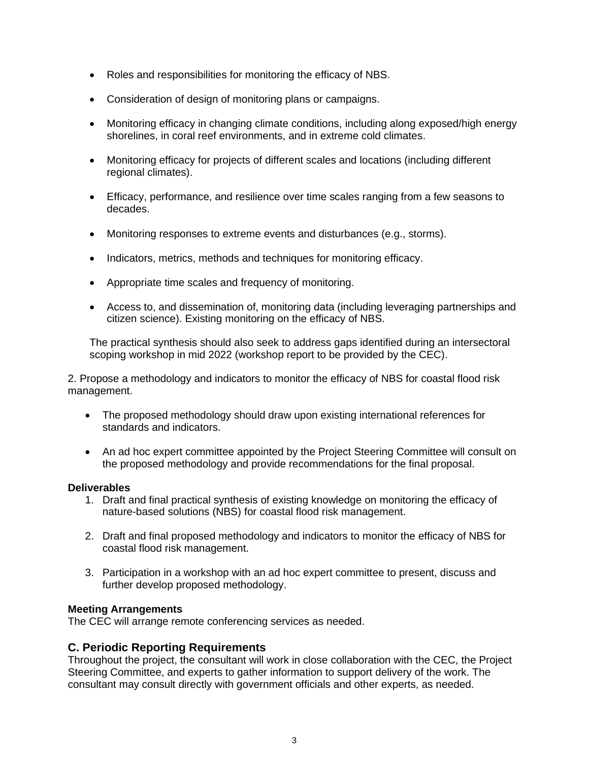- Roles and responsibilities for monitoring the efficacy of NBS.
- Consideration of design of monitoring plans or campaigns.
- Monitoring efficacy in changing climate conditions, including along exposed/high energy shorelines, in coral reef environments, and in extreme cold climates.
- Monitoring efficacy for projects of different scales and locations (including different regional climates).
- Efficacy, performance, and resilience over time scales ranging from a few seasons to decades.
- Monitoring responses to extreme events and disturbances (e.g., storms).
- Indicators, metrics, methods and techniques for monitoring efficacy.
- Appropriate time scales and frequency of monitoring.
- Access to, and dissemination of, monitoring data (including leveraging partnerships and citizen science). Existing monitoring on the efficacy of NBS.

The practical synthesis should also seek to address gaps identified during an intersectoral scoping workshop in mid 2022 (workshop report to be provided by the CEC).

2. Propose a methodology and indicators to monitor the efficacy of NBS for coastal flood risk management.

- The proposed methodology should draw upon existing international references for standards and indicators.
- An ad hoc expert committee appointed by the Project Steering Committee will consult on the proposed methodology and provide recommendations for the final proposal.

#### **Deliverables**

- 1. Draft and final practical synthesis of existing knowledge on monitoring the efficacy of nature-based solutions (NBS) for coastal flood risk management.
- 2. Draft and final proposed methodology and indicators to monitor the efficacy of NBS for coastal flood risk management.
- 3. Participation in a workshop with an ad hoc expert committee to present, discuss and further develop proposed methodology.

#### **Meeting Arrangements**

The CEC will arrange remote conferencing services as needed.

#### **C. Periodic Reporting Requirements**

Throughout the project, the consultant will work in close collaboration with the CEC, the Project Steering Committee, and experts to gather information to support delivery of the work. The consultant may consult directly with government officials and other experts, as needed.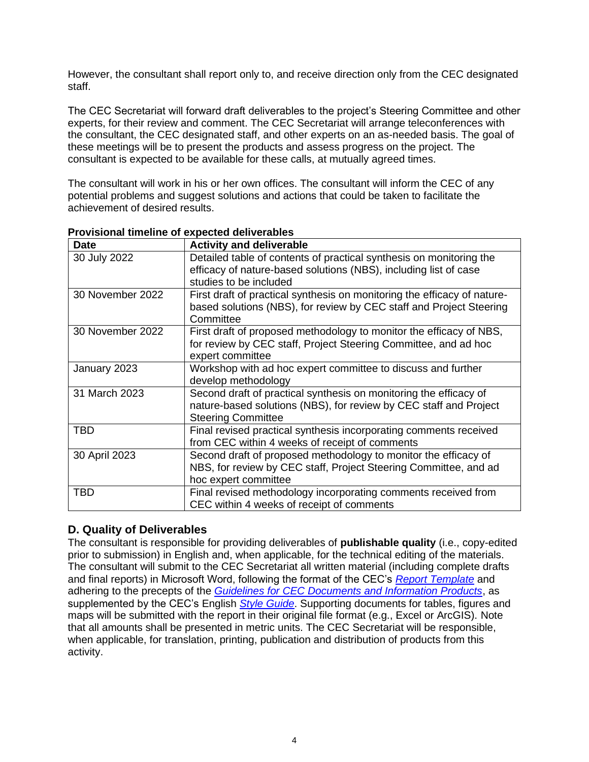However, the consultant shall report only to, and receive direction only from the CEC designated staff.

The CEC Secretariat will forward draft deliverables to the project's Steering Committee and other experts, for their review and comment. The CEC Secretariat will arrange teleconferences with the consultant, the CEC designated staff, and other experts on an as-needed basis. The goal of these meetings will be to present the products and assess progress on the project. The consultant is expected to be available for these calls, at mutually agreed times.

The consultant will work in his or her own offices. The consultant will inform the CEC of any potential problems and suggest solutions and actions that could be taken to facilitate the achievement of desired results.

| <b>Date</b>      | <b>Activity and deliverable</b>                                                                                                                                     |
|------------------|---------------------------------------------------------------------------------------------------------------------------------------------------------------------|
| 30 July 2022     | Detailed table of contents of practical synthesis on monitoring the<br>efficacy of nature-based solutions (NBS), including list of case<br>studies to be included   |
| 30 November 2022 | First draft of practical synthesis on monitoring the efficacy of nature-<br>based solutions (NBS), for review by CEC staff and Project Steering<br>Committee        |
| 30 November 2022 | First draft of proposed methodology to monitor the efficacy of NBS,<br>for review by CEC staff, Project Steering Committee, and ad hoc<br>expert committee          |
| January 2023     | Workshop with ad hoc expert committee to discuss and further<br>develop methodology                                                                                 |
| 31 March 2023    | Second draft of practical synthesis on monitoring the efficacy of<br>nature-based solutions (NBS), for review by CEC staff and Project<br><b>Steering Committee</b> |
| <b>TBD</b>       | Final revised practical synthesis incorporating comments received<br>from CEC within 4 weeks of receipt of comments                                                 |
| 30 April 2023    | Second draft of proposed methodology to monitor the efficacy of<br>NBS, for review by CEC staff, Project Steering Committee, and ad<br>hoc expert committee         |
| <b>TBD</b>       | Final revised methodology incorporating comments received from<br>CEC within 4 weeks of receipt of comments                                                         |

#### **Provisional timeline of expected deliverables**

## **D. Quality of Deliverables**

The consultant is responsible for providing deliverables of **publishable quality** (i.e., copy-edited prior to submission) in English and, when applicable, for the technical editing of the materials. The consultant will submit to the CEC Secretariat all written material (including complete drafts and final reports) in Microsoft Word, following the format of the CEC's *[Report Template](http://www.cec.org/guidelines-for-cec-documents/)* and adhering to the precepts of the *[Guidelines for CEC Documents and Information Products](http://www.cec.org/guidelines-for-cec-documents/)*, as supplemented by the CEC's English *[Style Guide](http://www.cec.org/18873_style-guide/)*. Supporting documents for tables, figures and maps will be submitted with the report in their original file format (e.g., Excel or ArcGIS). Note that all amounts shall be presented in metric units. The CEC Secretariat will be responsible, when applicable, for translation, printing, publication and distribution of products from this activity.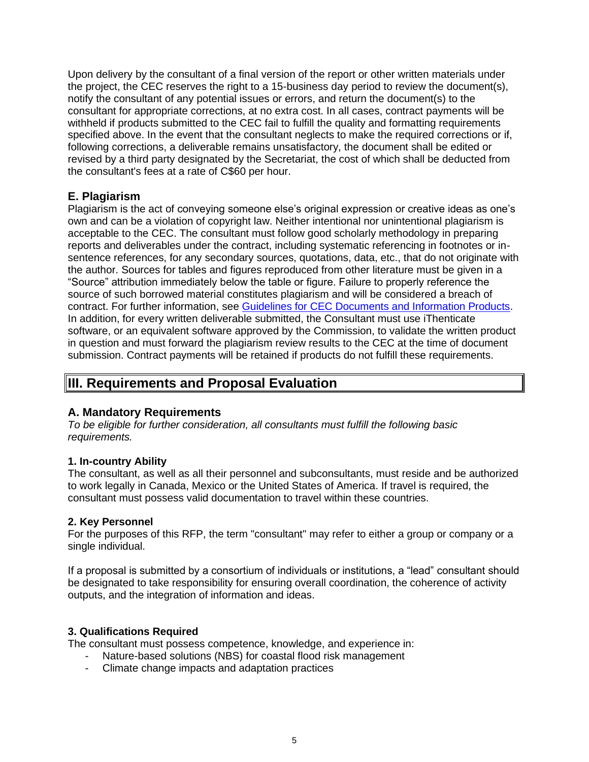Upon delivery by the consultant of a final version of the report or other written materials under the project, the CEC reserves the right to a 15-business day period to review the document(s), notify the consultant of any potential issues or errors, and return the document(s) to the consultant for appropriate corrections, at no extra cost. In all cases, contract payments will be withheld if products submitted to the CEC fail to fulfill the quality and formatting requirements specified above. In the event that the consultant neglects to make the required corrections or if, following corrections, a deliverable remains unsatisfactory, the document shall be edited or revised by a third party designated by the Secretariat, the cost of which shall be deducted from the consultant's fees at a rate of C\$60 per hour.

## **E. Plagiarism**

Plagiarism is the act of conveying someone else's original expression or creative ideas as one's own and can be a violation of copyright law. Neither intentional nor unintentional plagiarism is acceptable to the CEC. The consultant must follow good scholarly methodology in preparing reports and deliverables under the contract, including systematic referencing in footnotes or insentence references, for any secondary sources, quotations, data, etc., that do not originate with the author. Sources for tables and figures reproduced from other literature must be given in a "Source" attribution immediately below the table or figure. Failure to properly reference the source of such borrowed material constitutes plagiarism and will be considered a breach of contract. For further information, see [Guidelines for CEC Documents and Information Products.](http://www.cec.org/wp-content/uploads/guidelines-for-cec-documents.pdf) In addition, for every written deliverable submitted, the Consultant must use iThenticate software, or an equivalent software approved by the Commission, to validate the written product in question and must forward the plagiarism review results to the CEC at the time of document submission. Contract payments will be retained if products do not fulfill these requirements.

## **III. Requirements and Proposal Evaluation**

## **A. Mandatory Requirements**

*To be eligible for further consideration, all consultants must fulfill the following basic requirements.*

#### **1. In-country Ability**

The consultant, as well as all their personnel and subconsultants, must reside and be authorized to work legally in Canada, Mexico or the United States of America. If travel is required, the consultant must possess valid documentation to travel within these countries.

#### **2. Key Personnel**

For the purposes of this RFP, the term "consultant" may refer to either a group or company or a single individual.

If a proposal is submitted by a consortium of individuals or institutions, a "lead" consultant should be designated to take responsibility for ensuring overall coordination, the coherence of activity outputs, and the integration of information and ideas.

#### **3. Qualifications Required**

The consultant must possess competence, knowledge, and experience in:

- Nature-based solutions (NBS) for coastal flood risk management
- Climate change impacts and adaptation practices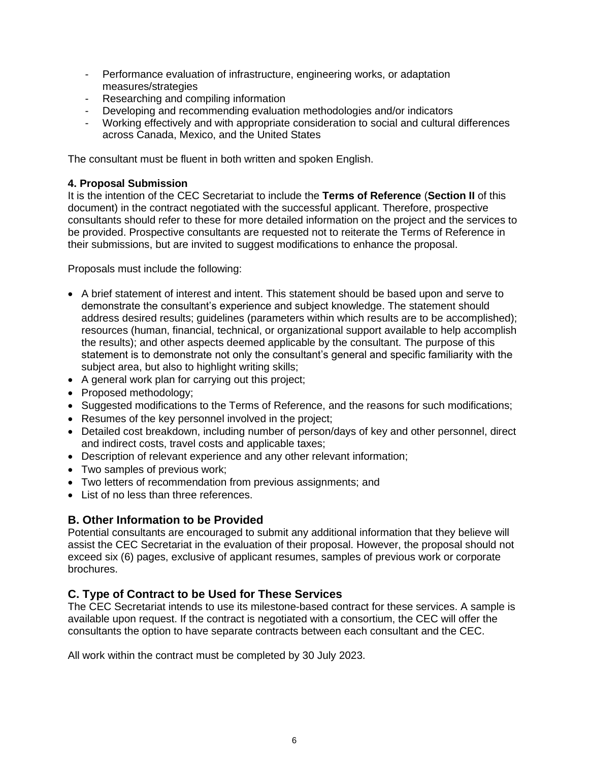- Performance evaluation of infrastructure, engineering works, or adaptation measures/strategies
- Researching and compiling information
- Developing and recommending evaluation methodologies and/or indicators
- Working effectively and with appropriate consideration to social and cultural differences across Canada, Mexico, and the United States

The consultant must be fluent in both written and spoken English.

#### **4. Proposal Submission**

It is the intention of the CEC Secretariat to include the **Terms of Reference** (**Section II** of this document) in the contract negotiated with the successful applicant. Therefore, prospective consultants should refer to these for more detailed information on the project and the services to be provided. Prospective consultants are requested not to reiterate the Terms of Reference in their submissions, but are invited to suggest modifications to enhance the proposal.

Proposals must include the following:

- A brief statement of interest and intent. This statement should be based upon and serve to demonstrate the consultant's experience and subject knowledge. The statement should address desired results; guidelines (parameters within which results are to be accomplished); resources (human, financial, technical, or organizational support available to help accomplish the results); and other aspects deemed applicable by the consultant. The purpose of this statement is to demonstrate not only the consultant's general and specific familiarity with the subject area, but also to highlight writing skills;
- A general work plan for carrying out this project;
- Proposed methodology;
- Suggested modifications to the Terms of Reference, and the reasons for such modifications;
- Resumes of the key personnel involved in the project;
- Detailed cost breakdown, including number of person/days of key and other personnel, direct and indirect costs, travel costs and applicable taxes;
- Description of relevant experience and any other relevant information;
- Two samples of previous work;
- Two letters of recommendation from previous assignments; and
- List of no less than three references.

## **B. Other Information to be Provided**

Potential consultants are encouraged to submit any additional information that they believe will assist the CEC Secretariat in the evaluation of their proposal. However, the proposal should not exceed six (6) pages, exclusive of applicant resumes, samples of previous work or corporate brochures.

## **C. Type of Contract to be Used for These Services**

The CEC Secretariat intends to use its milestone-based contract for these services. A sample is available upon request. If the contract is negotiated with a consortium, the CEC will offer the consultants the option to have separate contracts between each consultant and the CEC.

All work within the contract must be completed by 30 July 2023.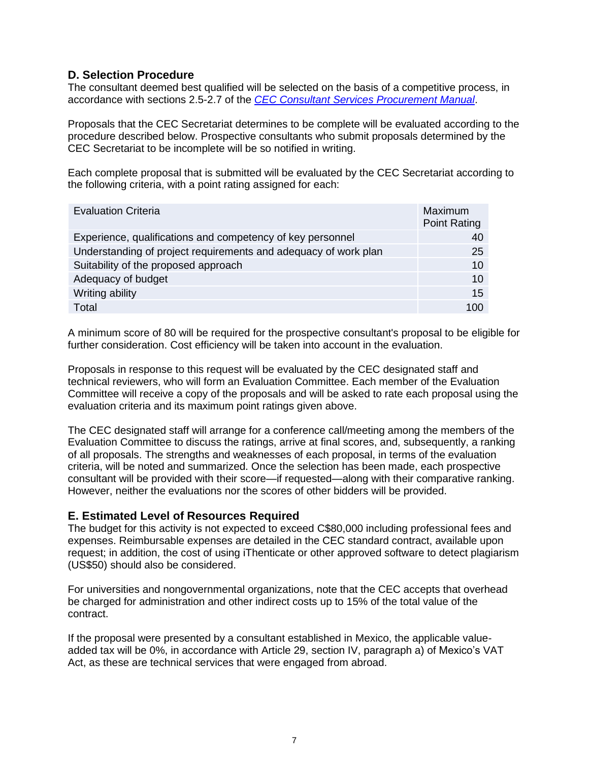## **D. Selection Procedure**

The consultant deemed best qualified will be selected on the basis of a competitive process, in accordance with sections 2.5-2.7 of the *[CEC Consultant Services Procurement Manual](http://www.cec.org/wp-content/uploads/18890_consultant_services_procurement_manual.pdf)*.

Proposals that the CEC Secretariat determines to be complete will be evaluated according to the procedure described below. Prospective consultants who submit proposals determined by the CEC Secretariat to be incomplete will be so notified in writing.

Each complete proposal that is submitted will be evaluated by the CEC Secretariat according to the following criteria, with a point rating assigned for each:

| <b>Evaluation Criteria</b>                                      | Maximum<br><b>Point Rating</b> |
|-----------------------------------------------------------------|--------------------------------|
| Experience, qualifications and competency of key personnel      | 40                             |
| Understanding of project requirements and adequacy of work plan | 25                             |
| Suitability of the proposed approach                            | 10                             |
| Adequacy of budget                                              | 10                             |
| Writing ability                                                 | 15                             |
| Total                                                           | 100                            |

A minimum score of 80 will be required for the prospective consultant's proposal to be eligible for further consideration. Cost efficiency will be taken into account in the evaluation.

Proposals in response to this request will be evaluated by the CEC designated staff and technical reviewers, who will form an Evaluation Committee. Each member of the Evaluation Committee will receive a copy of the proposals and will be asked to rate each proposal using the evaluation criteria and its maximum point ratings given above.

The CEC designated staff will arrange for a conference call/meeting among the members of the Evaluation Committee to discuss the ratings, arrive at final scores, and, subsequently, a ranking of all proposals. The strengths and weaknesses of each proposal, in terms of the evaluation criteria, will be noted and summarized. Once the selection has been made, each prospective consultant will be provided with their score—if requested—along with their comparative ranking. However, neither the evaluations nor the scores of other bidders will be provided.

## **E. Estimated Level of Resources Required**

The budget for this activity is not expected to exceed C\$80,000 including professional fees and expenses. Reimbursable expenses are detailed in the CEC standard contract, available upon request; in addition, the cost of using iThenticate or other approved software to detect plagiarism (US\$50) should also be considered.

For universities and nongovernmental organizations, note that the CEC accepts that overhead be charged for administration and other indirect costs up to 15% of the total value of the contract.

If the proposal were presented by a consultant established in Mexico, the applicable valueadded tax will be 0%, in accordance with Article 29, section IV, paragraph a) of Mexico's VAT Act, as these are technical services that were engaged from abroad.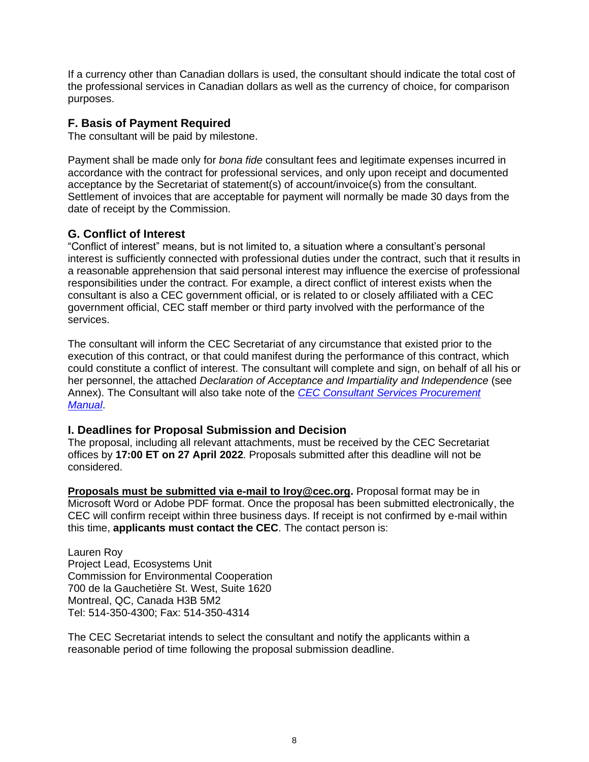If a currency other than Canadian dollars is used, the consultant should indicate the total cost of the professional services in Canadian dollars as well as the currency of choice, for comparison purposes.

### **F. Basis of Payment Required**

The consultant will be paid by milestone.

Payment shall be made only for *bona fide* consultant fees and legitimate expenses incurred in accordance with the contract for professional services, and only upon receipt and documented acceptance by the Secretariat of statement(s) of account/invoice(s) from the consultant. Settlement of invoices that are acceptable for payment will normally be made 30 days from the date of receipt by the Commission.

## **G. Conflict of Interest**

"Conflict of interest" means, but is not limited to, a situation where a consultant's personal interest is sufficiently connected with professional duties under the contract, such that it results in a reasonable apprehension that said personal interest may influence the exercise of professional responsibilities under the contract. For example, a direct conflict of interest exists when the consultant is also a CEC government official, or is related to or closely affiliated with a CEC government official, CEC staff member or third party involved with the performance of the services.

The consultant will inform the CEC Secretariat of any circumstance that existed prior to the execution of this contract, or that could manifest during the performance of this contract, which could constitute a conflict of interest. The consultant will complete and sign, on behalf of all his or her personnel, the attached *Declaration of Acceptance and Impartiality and Independence* (see Annex). The Consultant will also take note of the *[CEC Consultant Services Procurement](http://www.cec.org/wp-content/uploads/18890_consultant_services_procurement_manual.pdf)  [Manual](http://www.cec.org/wp-content/uploads/18890_consultant_services_procurement_manual.pdf)*.

## **I. Deadlines for Proposal Submission and Decision**

The proposal, including all relevant attachments, must be received by the CEC Secretariat offices by **17:00 ET on 27 April 2022**. Proposals submitted after this deadline will not be considered.

**Proposals must be submitted via e-mail to lroy@cec.org.** Proposal format may be in Microsoft Word or Adobe PDF format. Once the proposal has been submitted electronically, the CEC will confirm receipt within three business days. If receipt is not confirmed by e-mail within this time, **applicants must contact the CEC**. The contact person is:

Lauren Roy Project Lead, Ecosystems Unit Commission for Environmental Cooperation 700 de la Gauchetière St. West, Suite 1620 Montreal, QC, Canada H3B 5M2 Tel: 514-350-4300; Fax: 514-350-4314

The CEC Secretariat intends to select the consultant and notify the applicants within a reasonable period of time following the proposal submission deadline.